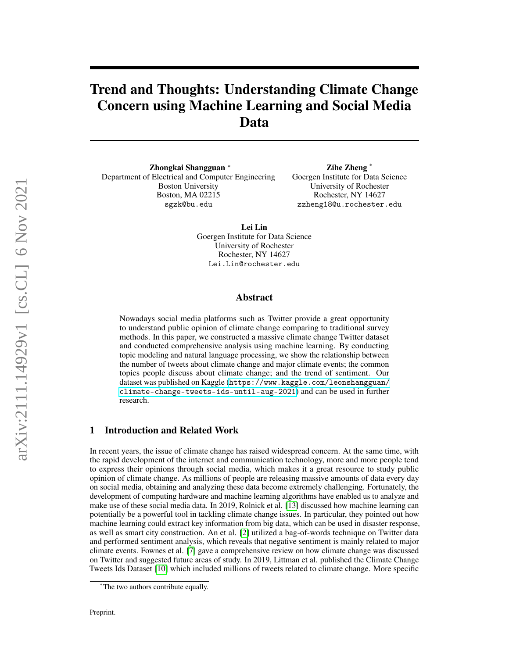# Trend and Thoughts: Understanding Climate Change Concern using Machine Learning and Social Media Data

Zhongkai Shangguan <sup>∗</sup> Department of Electrical and Computer Engineering Boston University Boston, MA 02215 sgzk@bu.edu

Zihe Zheng \* Goergen Institute for Data Science University of Rochester Rochester, NY 14627 zzheng18@u.rochester.edu

Lei Lin Goergen Institute for Data Science University of Rochester Rochester, NY 14627 Lei.Lin@rochester.edu

#### Abstract

Nowadays social media platforms such as Twitter provide a great opportunity to understand public opinion of climate change comparing to traditional survey methods. In this paper, we constructed a massive climate change Twitter dataset and conducted comprehensive analysis using machine learning. By conducting topic modeling and natural language processing, we show the relationship between the number of tweets about climate change and major climate events; the common topics people discuss about climate change; and the trend of sentiment. Our dataset was published on Kaggle ([https://www.kaggle.com/leonshangguan/](https://www.kaggle.com/leonshangguan/climate-change-tweets-ids-until-aug-2021) [climate-change-tweets-ids-until-aug-2021](https://www.kaggle.com/leonshangguan/climate-change-tweets-ids-until-aug-2021)) and can be used in further research.

#### 1 Introduction and Related Work

In recent years, the issue of climate change has raised widespread concern. At the same time, with the rapid development of the internet and communication technology, more and more people tend to express their opinions through social media, which makes it a great resource to study public opinion of climate change. As millions of people are releasing massive amounts of data every day on social media, obtaining and analyzing these data become extremely challenging. Fortunately, the development of computing hardware and machine learning algorithms have enabled us to analyze and make use of these social media data. In 2019, Rolnick et al. [\[13\]](#page-4-0) discussed how machine learning can potentially be a powerful tool in tackling climate change issues. In particular, they pointed out how machine learning could extract key information from big data, which can be used in disaster response, as well as smart city construction. An et al. [\[2\]](#page-4-1) utilized a bag-of-words technique on Twitter data and performed sentiment analysis, which reveals that negative sentiment is mainly related to major climate events. Fownes et al. [\[7\]](#page-4-2) gave a comprehensive review on how climate change was discussed on Twitter and suggested future areas of study. In 2019, Littman et al. published the Climate Change Tweets Ids Dataset [\[10\]](#page-4-3) which included millions of tweets related to climate change. More specific

<sup>∗</sup>The two authors contribute equally.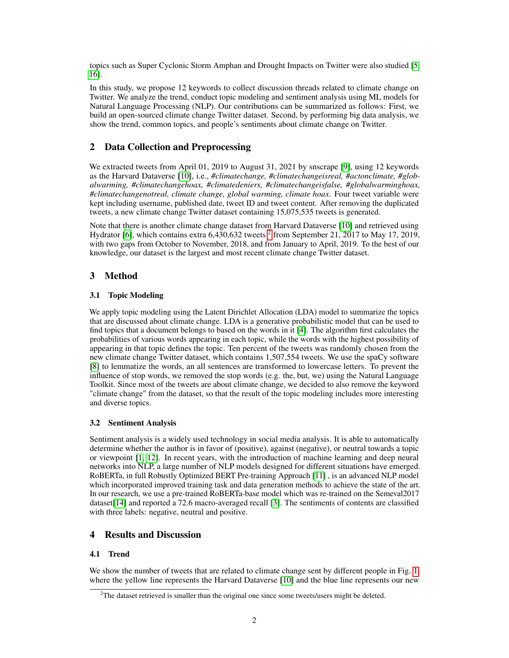topics such as Super Cyclonic Storm Amphan and Drought Impacts on Twitter were also studied [\[5,](#page-4-4) [16\]](#page-4-5).

In this study, we propose 12 keywords to collect discussion threads related to climate change on Twitter. We analyze the trend, conduct topic modeling and sentiment analysis using ML models for Natural Language Processing (NLP). Our contributions can be summarized as follows: First, we build an open-sourced climate change Twitter dataset. Second, by performing big data analysis, we show the trend, common topics, and people's sentiments about climate change on Twitter.

# 2 Data Collection and Preprocessing

We extracted tweets from April 01, 2019 to August 31, 2021 by snscrape [\[9\]](#page-4-6), using 12 keywords as the Harvard Dataverse [\[10\]](#page-4-3), i.e., *#climatechange, #climatechangeisreal, #actonclimate, #globalwarming, #climatechangehoax, #climatedeniers, #climatechangeisfalse, #globalwarminghoax, #climatechangenotreal, climate change, global warming, climate hoax*. Four tweet variable were kept including username, published date, tweet ID and tweet content. After removing the duplicated tweets, a new climate change Twitter dataset containing 15,075,535 tweets is generated.

Note that there is another climate change dataset from Harvard Dataverse [\[10\]](#page-4-3) and retrieved using Hydrator [\[6\]](#page-4-7), which contains extra 6,430,63[2](#page-1-0) tweets  $^2$  from September 21, 2017 to May 17, 2019, with two gaps from October to November, 2018, and from January to April, 2019. To the best of our knowledge, our dataset is the largest and most recent climate change Twitter dataset.

# 3 Method

## 3.1 Topic Modeling

We apply topic modeling using the Latent Dirichlet Allocation (LDA) model to summarize the topics that are discussed about climate change. LDA is a generative probabilistic model that can be used to find topics that a document belongs to based on the words in it [\[4\]](#page-4-8). The algorithm first calculates the probabilities of various words appearing in each topic, while the words with the highest possibility of appearing in that topic defines the topic. Ten percent of the tweets was randomly chosen from the new climate change Twitter dataset, which contains 1,507,554 tweets. We use the spaCy software [\[8\]](#page-4-9) to lemmatize the words, an all sentences are transformed to lowercase letters. To prevent the influence of stop words, we removed the stop words (e.g. the, but, we) using the Natural Language Toolkit. Since most of the tweets are about climate change, we decided to also remove the keyword "climate change" from the dataset, so that the result of the topic modeling includes more interesting and diverse topics.

## 3.2 Sentiment Analysis

Sentiment analysis is a widely used technology in social media analysis. It is able to automatically determine whether the author is in favor of (positive), against (negative), or neutral towards a topic or viewpoint [\[1,](#page-4-10) [12\]](#page-4-11). In recent years, with the introduction of machine learning and deep neural networks into NLP, a large number of NLP models designed for different situations have emerged. RoBERTa, in full Robustly Optimized BERT Pre-training Approach [\[11\]](#page-4-12) , is an advanced NLP model which incorporated improved training task and data generation methods to achieve the state of the art. In our research, we use a pre-trained RoBERTa-base model which was re-trained on the Semeval2017 dataset[\[14\]](#page-4-13) and reported a 72.6 macro-averaged recall [\[3\]](#page-4-14). The sentiments of contents are classified with three labels: negative, neutral and positive.

# 4 Results and Discussion

## 4.1 Trend

We show the number of tweets that are related to climate change sent by different people in Fig. [1,](#page-2-0) where the yellow line represents the Harvard Dataverse [\[10\]](#page-4-3) and the blue line represents our new

<span id="page-1-0"></span><sup>&</sup>lt;sup>2</sup>The dataset retrieved is smaller than the original one since some tweets/users might be deleted.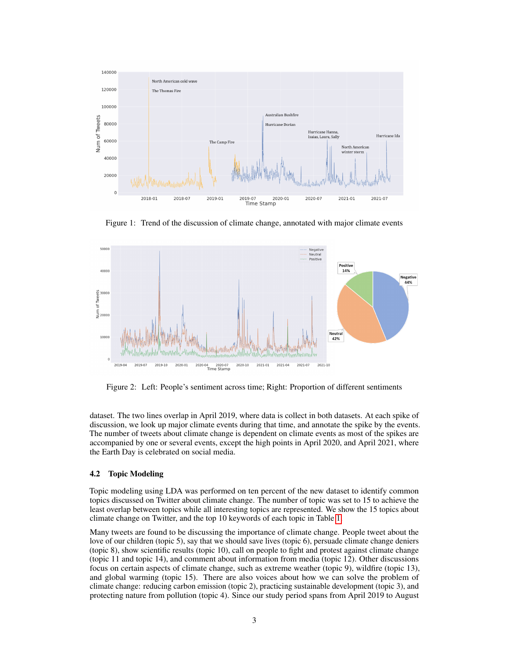

<span id="page-2-0"></span>Figure 1: Trend of the discussion of climate change, annotated with major climate events



<span id="page-2-1"></span>Figure 2: Left: People's sentiment across time; Right: Proportion of different sentiments

dataset. The two lines overlap in April 2019, where data is collect in both datasets. At each spike of discussion, we look up major climate events during that time, and annotate the spike by the events. The number of tweets about climate change is dependent on climate events as most of the spikes are accompanied by one or several events, except the high points in April 2020, and April 2021, where the Earth Day is celebrated on social media.

#### 4.2 Topic Modeling

Topic modeling using LDA was performed on ten percent of the new dataset to identify common topics discussed on Twitter about climate change. The number of topic was set to 15 to achieve the least overlap between topics while all interesting topics are represented. We show the 15 topics about climate change on Twitter, and the top 10 keywords of each topic in Table [1.](#page-3-0)

Many tweets are found to be discussing the importance of climate change. People tweet about the love of our children (topic 5), say that we should save lives (topic 6), persuade climate change deniers (topic 8), show scientific results (topic 10), call on people to fight and protest against climate change (topic 11 and topic 14), and comment about information from media (topic 12). Other discussions focus on certain aspects of climate change, such as extreme weather (topic 9), wildfire (topic 13), and global warming (topic 15). There are also voices about how we can solve the problem of climate change: reducing carbon emission (topic 2), practicing sustainable development (topic 3), and protecting nature from pollution (topic 4). Since our study period spans from April 2019 to August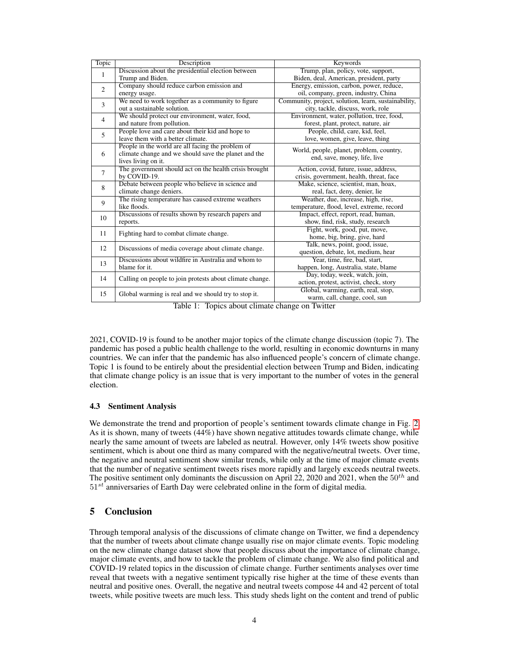| Topic                  | Description                                              | Keywords                                                                 |
|------------------------|----------------------------------------------------------|--------------------------------------------------------------------------|
| $\mathbf{1}$           | Discussion about the presidential election between       | Trump, plan, policy, vote, support,                                      |
|                        | Trump and Biden.                                         | Biden, deal, American, president, party                                  |
| $\mathcal{D}_{\alpha}$ | Company should reduce carbon emission and                | Energy, emission, carbon, power, reduce,                                 |
|                        | energy usage.                                            | oil, company, green, industry, China                                     |
| 3                      | We need to work together as a community to figure        | Community, project, solution, learn, sustainability,                     |
|                        | out a sustainable solution.                              | city, tackle, discuss, work, role                                        |
| 4                      | We should protect our environment, water, food,          | Environment, water, pollution, tree, food,                               |
|                        | and nature from pollution.                               | forest, plant, protect, nature, air                                      |
| 5                      | People love and care about their kid and hope to         | People, child, care, kid, feel,                                          |
|                        | leave them with a better climate.                        | love, women, give, leave, thing                                          |
| 6                      | People in the world are all facing the problem of        | World, people, planet, problem, country,<br>end, save, money, life, live |
|                        | climate change and we should save the planet and the     |                                                                          |
|                        | lives living on it.                                      |                                                                          |
| $\tau$                 | The government should act on the health crisis brought   | Action, covid, future, issue, address,                                   |
|                        | by COVID-19.                                             | crisis, government, health, threat, face                                 |
| 8                      | Debate between people who believe in science and         | Make, science, scientist, man, hoax,                                     |
|                        | climate change deniers.                                  | real, fact, deny, denier, lie                                            |
| 9                      | The rising temperature has caused extreme weathers       | Weather, due, increase, high, rise,                                      |
|                        | like floods.                                             | temperature, flood, level, extreme, record                               |
| 10                     | Discussions of results shown by research papers and      | Impact, effect, report, read, human,                                     |
|                        | reports.                                                 | show, find, risk, study, research                                        |
| 11                     | Fighting hard to combat climate change.                  | Fight, work, good, put, move,                                            |
|                        |                                                          | home, big, bring, give, hard                                             |
| 12                     | Discussions of media coverage about climate change.      | Talk, news, point, good, issue,                                          |
|                        |                                                          | question, debate, lot, medium, hear                                      |
| 13                     | Discussions about wildfire in Australia and whom to      | Year, time, fire, bad, start,                                            |
|                        | blame for it.                                            | happen, long, Australia, state, blame                                    |
| 14                     | Calling on people to join protests about climate change. | Day, today, week, watch, join,                                           |
|                        |                                                          | action, protest, activist, check, story                                  |
| 15                     | Global warming is real and we should try to stop it.     | Global, warming, earth, real, stop,                                      |
|                        |                                                          | warm, call, change, cool, sun                                            |

<span id="page-3-0"></span>Table 1: Topics about climate change on Twitter

2021, COVID-19 is found to be another major topics of the climate change discussion (topic 7). The pandemic has posed a public health challenge to the world, resulting in economic downturns in many countries. We can infer that the pandemic has also influenced people's concern of climate change. Topic 1 is found to be entirely about the presidential election between Trump and Biden, indicating that climate change policy is an issue that is very important to the number of votes in the general election.

#### 4.3 Sentiment Analysis

We demonstrate the trend and proportion of people's sentiment towards climate change in Fig. [2.](#page-2-1) As it is shown, many of tweets (44%) have shown negative attitudes towards climate change, while nearly the same amount of tweets are labeled as neutral. However, only 14% tweets show positive sentiment, which is about one third as many compared with the negative/neutral tweets. Over time, the negative and neutral sentiment show similar trends, while only at the time of major climate events that the number of negative sentiment tweets rises more rapidly and largely exceeds neutral tweets. The positive sentiment only dominants the discussion on April 22, 2020 and 2021, when the  $50^{th}$  and  $51<sup>st</sup>$  anniversaries of Earth Day were celebrated online in the form of digital media.

# 5 Conclusion

Through temporal analysis of the discussions of climate change on Twitter, we find a dependency that the number of tweets about climate change usually rise on major climate events. Topic modeling on the new climate change dataset show that people discuss about the importance of climate change, major climate events, and how to tackle the problem of climate change. We also find political and COVID-19 related topics in the discussion of climate change. Further sentiments analyses over time reveal that tweets with a negative sentiment typically rise higher at the time of these events than neutral and positive ones. Overall, the negative and neutral tweets compose 44 and 42 percent of total tweets, while positive tweets are much less. This study sheds light on the content and trend of public